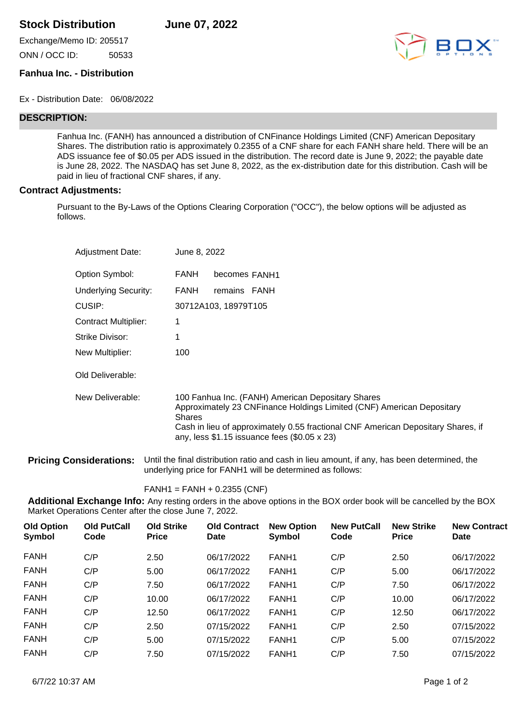## **Stock Distribution June 07, 2022**

Exchange/Memo ID: 205517 ONN / OCC ID: 50533



## **Fanhua Inc. - Distribution**

Ex - Distribution Date: 06/08/2022

## **DESCRIPTION:**

Fanhua Inc. (FANH) has announced a distribution of CNFinance Holdings Limited (CNF) American Depositary Shares. The distribution ratio is approximately 0.2355 of a CNF share for each FANH share held. There will be an ADS issuance fee of \$0.05 per ADS issued in the distribution. The record date is June 9, 2022; the payable date is June 28, 2022. The NASDAQ has set June 8, 2022, as the ex-distribution date for this distribution. Cash will be paid in lieu of fractional CNF shares, if any.

## **Contract Adjustments:**

Pursuant to the By-Laws of the Options Clearing Corporation ("OCC"), the below options will be adjusted as follows.

| <b>Adjustment Date:</b>     | June 8, 2022                                                                                                                                                                                                                                                                            |
|-----------------------------|-----------------------------------------------------------------------------------------------------------------------------------------------------------------------------------------------------------------------------------------------------------------------------------------|
| Option Symbol:              | <b>FANH</b><br>becomes FANH1                                                                                                                                                                                                                                                            |
| Underlying Security:        | FANH<br>remains FANH                                                                                                                                                                                                                                                                    |
| CUSIP:                      | 30712A103, 18979T105                                                                                                                                                                                                                                                                    |
| <b>Contract Multiplier:</b> |                                                                                                                                                                                                                                                                                         |
| Strike Divisor:             |                                                                                                                                                                                                                                                                                         |
| New Multiplier:             | 100                                                                                                                                                                                                                                                                                     |
| Old Deliverable:            |                                                                                                                                                                                                                                                                                         |
| New Deliverable:            | 100 Fanhua Inc. (FANH) American Depositary Shares<br>Approximately 23 CNFinance Holdings Limited (CNF) American Depositary<br><b>Shares</b><br>Cash in lieu of approximately 0.55 fractional CNF American Depositary Shares, if<br>any, less $$1.15$ issuance fees $(\$0.05 \times 23)$ |

**Pricing Considerations:** Until the final distribution ratio and cash in lieu amount, if any, has been determined, the underlying price for FANH1 will be determined as follows:

FANH1 = FANH + 0.2355 (CNF)

**Additional Exchange Info:** Any resting orders in the above options in the BOX order book will be cancelled by the BOX Market Operations Center after the close June 7, 2022.

| <b>Old Option</b><br>Symbol | <b>Old PutCall</b><br>Code | <b>Old Strike</b><br><b>Price</b> | <b>Old Contract</b><br><b>Date</b> | <b>New Option</b><br>Symbol | <b>New PutCall</b><br>Code | <b>New Strike</b><br><b>Price</b> | <b>New Contract</b><br><b>Date</b> |
|-----------------------------|----------------------------|-----------------------------------|------------------------------------|-----------------------------|----------------------------|-----------------------------------|------------------------------------|
| <b>FANH</b>                 | C/P                        | 2.50                              | 06/17/2022                         | FANH <sub>1</sub>           | C/P                        | 2.50                              | 06/17/2022                         |
| <b>FANH</b>                 | C/P                        | 5.00                              | 06/17/2022                         | FANH <sub>1</sub>           | C/P                        | 5.00                              | 06/17/2022                         |
| <b>FANH</b>                 | C/P                        | 7.50                              | 06/17/2022                         | FANH <sub>1</sub>           | C/P                        | 7.50                              | 06/17/2022                         |
| <b>FANH</b>                 | C/P                        | 10.00                             | 06/17/2022                         | FANH1                       | C/P                        | 10.00                             | 06/17/2022                         |
| <b>FANH</b>                 | C/P                        | 12.50                             | 06/17/2022                         | FANH1                       | C/P                        | 12.50                             | 06/17/2022                         |
| <b>FANH</b>                 | C/P                        | 2.50                              | 07/15/2022                         | FANH1                       | C/P                        | 2.50                              | 07/15/2022                         |
| <b>FANH</b>                 | C/P                        | 5.00                              | 07/15/2022                         | FANH1                       | C/P                        | 5.00                              | 07/15/2022                         |
| <b>FANH</b>                 | C/P                        | 7.50                              | 07/15/2022                         | FANH <sub>1</sub>           | C/P                        | 7.50                              | 07/15/2022                         |